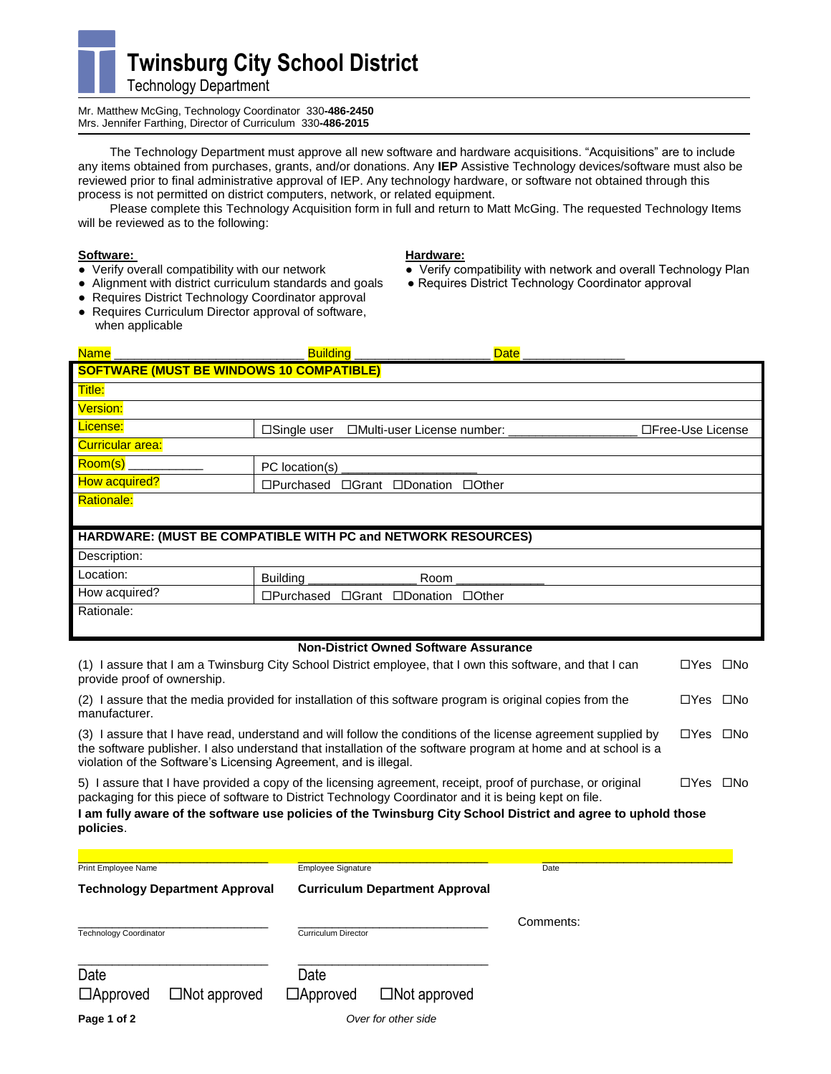

Mr. Matthew McGing, Technology Coordinator 330**-486-2450**  Mrs. Jennifer Farthing, Director of Curriculum 330**-486-2015**

The Technology Department must approve all new software and hardware acquisitions. "Acquisitions" are to include any items obtained from purchases, grants, and/or donations. Any **IEP** Assistive Technology devices/software must also be reviewed prior to final administrative approval of IEP. Any technology hardware, or software not obtained through this process is not permitted on district computers, network, or related equipment.

Please complete this Technology Acquisition form in full and return to Matt McGing. The requested Technology Items will be reviewed as to the following:

**Software: Hardware: We argume the Software: Hardware: We argume the Verify conducts** Verify conducts verify conducts verify conducts verify conducts verify conducts verify conducts verify conducts verify conducts

## • Alignment with district curriculum standards and goals

- Requires District Technology Coordinator approval
- Requires Curriculum Director approval of software, when applicable

- Verify compatibility with network and overall Technology Plan<br>● Requires District Technology Coordinator approval
- 

|                                                              | Date<br><b>Building</b>                                                |                   |  |  |  |
|--------------------------------------------------------------|------------------------------------------------------------------------|-------------------|--|--|--|
| <b>SOFTWARE (MUST BE WINDOWS 10 COMPATIBLE)</b>              |                                                                        |                   |  |  |  |
| Title:                                                       |                                                                        |                   |  |  |  |
| <b>Version:</b>                                              |                                                                        |                   |  |  |  |
| License:                                                     | $\square$ Single user<br>□Multi-user License number: _________         | □Free-Use License |  |  |  |
| <b>Curricular area:</b>                                      |                                                                        |                   |  |  |  |
| $\overline{\text{Room(s)}}$                                  | PC location(s)                                                         |                   |  |  |  |
| How acquired?                                                | $\square$ Purchased $\square$ Grant $\square$ Donation<br>$\Box$ Other |                   |  |  |  |
| <b>Rationale:</b>                                            |                                                                        |                   |  |  |  |
|                                                              |                                                                        |                   |  |  |  |
| HARDWARE: (MUST BE COMPATIBLE WITH PC and NETWORK RESOURCES) |                                                                        |                   |  |  |  |
| Description:                                                 |                                                                        |                   |  |  |  |
| Location:                                                    | Building ____________<br>$Room_{-}$                                    |                   |  |  |  |
| How acquired?                                                | □Grant □Donation □Other<br>□Purchased                                  |                   |  |  |  |
| Rationale:                                                   |                                                                        |                   |  |  |  |
|                                                              |                                                                        |                   |  |  |  |
| <b>Non-District Owned Software Assurance</b>                 |                                                                        |                   |  |  |  |

| (1) I assure that I am a Twinsburg City School District employee, that I own this software, and that I can<br>provide proof of ownership. |                                                                                                                                                                                                                                                                                                                                      |           |                      |                      |
|-------------------------------------------------------------------------------------------------------------------------------------------|--------------------------------------------------------------------------------------------------------------------------------------------------------------------------------------------------------------------------------------------------------------------------------------------------------------------------------------|-----------|----------------------|----------------------|
| (2) Lassure that the media provided for installation of this software program is original copies from the<br>manufacturer.                |                                                                                                                                                                                                                                                                                                                                      |           |                      | $\square$ No<br>□Yes |
| violation of the Software's Licensing Agreement, and is illegal.                                                                          | (3) I assure that I have read, understand and will follow the conditions of the license agreement supplied by<br>the software publisher. I also understand that installation of the software program at home and at school is a                                                                                                      |           | $\Box$ Yes $\Box$ No |                      |
| policies.                                                                                                                                 | 5) Lassure that I have provided a copy of the licensing agreement, receipt, proof of purchase, or original<br>packaging for this piece of software to District Technology Coordinator and it is being kept on file.<br>I am fully aware of the software use policies of the Twinsburg City School District and agree to uphold those |           | $\Box Y$ es          | $\square$ No         |
| Print Employee Name                                                                                                                       | Employee Signature                                                                                                                                                                                                                                                                                                                   | Date      |                      |                      |
| <b>Technology Department Approval</b>                                                                                                     | <b>Curriculum Department Approval</b>                                                                                                                                                                                                                                                                                                |           |                      |                      |
| <b>Technology Coordinator</b>                                                                                                             | <b>Curriculum Director</b>                                                                                                                                                                                                                                                                                                           | Comments: |                      |                      |
| Date                                                                                                                                      | Date                                                                                                                                                                                                                                                                                                                                 |           |                      |                      |

| ------          |                        |                 |                     |
|-----------------|------------------------|-----------------|---------------------|
| $\Box$ Approved | $\square$ Not approved | $\Box$ Approved | $\Box$ Not approved |